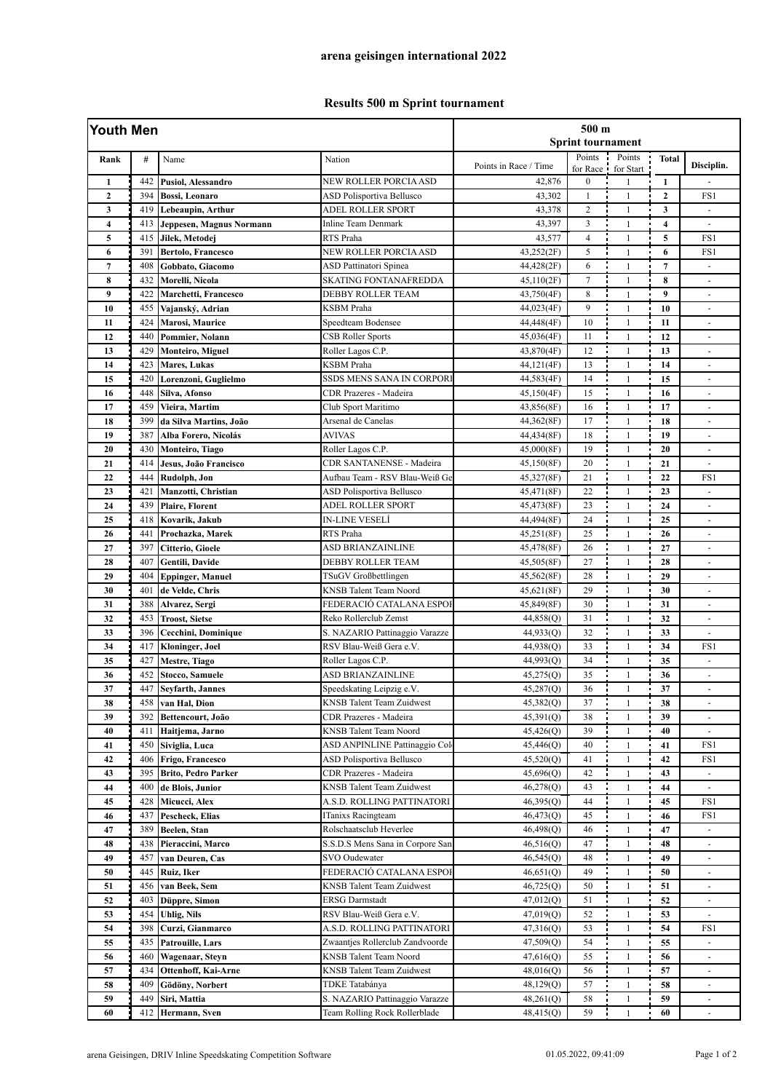## **Results 500 m Sprint tournament**

| Youth Men        |     |                            |                                      | 500 m<br><b>Sprint tournament</b> |                    |                     |                         |                          |  |
|------------------|-----|----------------------------|--------------------------------------|-----------------------------------|--------------------|---------------------|-------------------------|--------------------------|--|
| Rank             | #   | Name                       | Nation                               | Points in Race / Time             | Points<br>for Race | Points<br>for Start | <b>Total</b>            | Disciplin.               |  |
| $\mathbf{1}$     | 442 | Pusiol, Alessandro         | NEW ROLLER PORCIA ASD                | 42,876                            | $\bf{0}$           | $\mathbf{1}$        | 1                       |                          |  |
| $\boldsymbol{2}$ | 394 | <b>Bossi</b> , Leonaro     | ASD Polisportiva Bellusco            | 43,302                            | $\mathbf{1}$       | $\mathbf{1}$        | $\mathbf{2}$            | FS1                      |  |
| 3                | 419 | Lebeaupin, Arthur          | <b>ADEL ROLLER SPORT</b>             | 43,378                            | $\overline{c}$     | $\mathbf{1}$        | 3                       | $\sim$                   |  |
| $\overline{4}$   | 413 | Jeppesen, Magnus Normann   | <b>Inline Team Denmark</b>           | 43,397                            | 3                  | $\mathbf{1}$        | $\overline{\mathbf{4}}$ | $\blacksquare$           |  |
| 5                | 415 | Jilek, Metodej             | RTS Praha                            | 43,577                            | $\overline{4}$     | $\mathbf{1}$        | 5                       | FS1                      |  |
| 6                | 391 | Bertolo, Francesco         | NEW ROLLER PORCIA ASD                | 43,252(2F)                        | 5                  | $\mathbf{1}$        | 6                       | FS1                      |  |
| $\overline{7}$   | 408 | Gobbato, Giacomo           | <b>ASD Pattinatori Spinea</b>        | 44,428(2F)                        | 6                  | $\mathbf{1}$        | $\overline{7}$          |                          |  |
| 8                | 432 | Morelli, Nicola            | SKATING FONTANAFREDDA                | 45,110(2F)                        | $\overline{7}$     | $\mathbf{1}$        | 8                       | ÷,                       |  |
| 9                | 422 | Marchetti, Francesco       | <b>DEBBY ROLLER TEAM</b>             | 43,750(4F)                        | 8                  | $\mathbf{1}$        | $\boldsymbol{9}$        | $\blacksquare$           |  |
| 10               | 455 | Vajanský, Adrian           | <b>KSBM</b> Praha                    | 44,023(4F)                        | 9                  | $\mathbf{1}$        | 10                      | $\blacksquare$           |  |
| 11               | 424 | Marosi, Maurice            | Speedteam Bodensee                   | 44,448(4F)                        | 10                 | $\mathbf{1}$        | 11                      | $\sim$                   |  |
| 12               | 440 | Pommier, Nolann            | <b>CSB Roller Sports</b>             | 45,036(4F)                        | 11                 | $\mathbf{1}$        | 12                      | $\overline{\phantom{a}}$ |  |
| 13               | 429 | <b>Monteiro, Miguel</b>    | Roller Lagos C.P.                    | 43,870(4F)                        | 12                 | $\mathbf{1}$        | 13                      | ÷,                       |  |
| 14               | 423 | <b>Mares, Lukas</b>        | <b>KSBM</b> Praha                    | 44,121(4F)                        | 13                 | $\mathbf{1}$        | 14                      | $\sim$                   |  |
| 15               | 420 | Lorenzoni, Guglielmo       | SSDS MENS SANA IN CORPORI            | 44,583(4F)                        | 14                 | $\mathbf{1}$        | 15                      | $\sim$                   |  |
| 16               | 448 | Silva, Afonso              | CDR Prazeres - Madeira               | 45,150(4F)                        | 15                 | $\mathbf{1}$        | 16                      | $\blacksquare$           |  |
| 17               | 459 | Vieira, Martim             | Club Sport Maritimo                  | 43,856(8F)                        | 16                 | $\mathbf{1}$        | 17                      | $\overline{\phantom{a}}$ |  |
| 18               | 399 | da Silva Martins, João     | Arsenal de Canelas                   | 44,362(8F)                        | 17                 | $\mathbf{1}$        | 18                      |                          |  |
| 19               | 387 | Alba Forero, Nicolás       | <b>AVIVAS</b>                        | 44,434(8F)                        | 18                 | $\mathbf{1}$        | 19                      | $\blacksquare$           |  |
| 20               | 430 | Monteiro, Tiago            | Roller Lagos C.P.                    | 45,000(8F)                        | 19                 | $\mathbf{1}$        | 20                      |                          |  |
| 21               | 414 | Jesus, João Francisco      | <b>CDR SANTANENSE - Madeira</b>      | 45,150(8F)                        | 20                 | $\mathbf{1}$        | 21                      | $\blacksquare$           |  |
| 22               | 444 | Rudolph, Jon               | Aufbau Team - RSV Blau-Weiß Ge       | 45,327(8F)                        | 21                 | $\mathbf{1}$        | 22                      | FS1                      |  |
| 23               | 421 | Manzotti, Christian        | ASD Polisportiva Bellusco            | 45,471(8F)                        | 22                 | $\mathbf{1}$        | 23                      |                          |  |
| 24               | 439 | <b>Plaire, Florent</b>     | ADEL ROLLER SPORT                    | 45,473(8F)                        | 23                 | $\mathbf{1}$        | 24                      | $\sim$                   |  |
| 25               | 418 | Kovarik, Jakub             | <b>IN-LINE VESELÍ</b>                | 44,494(8F)                        | 24                 | $\mathbf{1}$        | 25                      | $\blacksquare$           |  |
| 26               | 441 | Prochazka, Marek           | RTS Praha                            | 45,251(8F)                        | 25                 | $\mathbf{1}$        | 26                      | $\overline{\phantom{a}}$ |  |
| 27               | 397 | Citterio, Gioele           | ASD BRIANZAINLINE                    | 45,478(8F)                        | 26                 | $\mathbf{1}$        | 27                      | $\sim$                   |  |
| 28               | 407 | Gentili, Davide            | DEBBY ROLLER TEAM                    | 45,505(8F)                        | 27                 | $\mathbf{1}$        | 28                      | $\sim$                   |  |
| 29               | 404 | <b>Eppinger, Manuel</b>    | TSuGV Großbettlingen                 | 45,562(8F)                        | 28                 | $\mathbf{1}$        | 29                      | $\blacksquare$           |  |
| 30               | 401 | de Velde, Chris            | KNSB Talent Team Noord               | 45,621(8F)                        | 29                 | $\mathbf{1}$        | 30                      | $\overline{a}$           |  |
| 31               | 388 | Alvarez, Sergi             | FEDERACIÓ CATALANA ESPOI             | 45,849(8F)                        | 30                 | $\mathbf{1}$        | 31                      | $\blacksquare$           |  |
| 32               | 453 | <b>Troost, Sietse</b>      | Reko Rollerclub Zemst                | 44,858(Q)                         | 31                 | $\mathbf{1}$        | 32                      | $\sim$                   |  |
| 33               | 396 | Cecchini, Dominique        | S. NAZARIO Pattinaggio Varazze       | 44,933(O)                         | 32                 | $\mathbf{1}$        | 33                      | $\overline{\phantom{a}}$ |  |
| 34               | 417 | Kloninger, Joel            | RSV Blau-Weiß Gera e.V.              | 44,938(Q)                         | 33                 | $\mathbf{1}$        | 34                      | FS1                      |  |
| 35               | 427 | <b>Mestre, Tiago</b>       | Roller Lagos C.P.                    | 44,993(Q)                         | 34                 | $\mathbf{1}$        | 35                      | $\overline{\phantom{a}}$ |  |
| 36               | 452 | Stocco, Samuele            | ASD BRIANZAINLINE                    | 45,275(Q)                         | 35                 | $\mathbf{1}$        | 36                      | ä,                       |  |
| 37               | 447 | Seyfarth, Jannes           | Speedskating Leipzig e.V.            | 45,287(Q)                         | 36                 | $\mathbf{1}$        | 37                      | $\sim$                   |  |
| 38               | 458 | van Hal, Dion              | KNSB Talent Team Zuidwest            | 45,382(Q)                         | 37                 | ÷<br>1              | 38                      | $\overline{\phantom{a}}$ |  |
| 39               | 392 | Bettencourt, João          | CDR Prazeres - Madeira               | 45,391(Q)                         | 38                 | ÷<br>$\mathbf{1}$   | 39                      |                          |  |
| 40               | 411 | Haitjema, Jarno            | KNSB Talent Team Noord               | 45,426(Q)                         | 39                 | $\mathbf{1}$        | 40                      | $\omega$                 |  |
| 41               | 450 | Siviglia, Luca             | <b>ASD ANPINLINE Pattinaggio Col</b> | 45,446(Q)                         | 40                 | $\mathbf{1}$        | 41                      | FS1                      |  |
| 42               | 406 | Frigo, Francesco           | ASD Polisportiva Bellusco            | 45,520(Q)                         | 41                 | $\mathbf{1}$        | 42                      | FS1                      |  |
| 43               | 395 | Brito, Pedro Parker        | CDR Prazeres - Madeira               | 45,696(Q)                         | 42                 | $\mathbf{1}$        | 43                      | $\overline{\phantom{a}}$ |  |
| 44               | 400 | de Blois, Junior           | <b>KNSB Talent Team Zuidwest</b>     | 46,278(Q)                         | 43                 | 1                   | 44                      |                          |  |
| 45               | 428 | Micucci, Alex              | A.S.D. ROLLING PATTINATORI           | 46,395(Q)                         | 44                 | $\mathbf{1}$        | 45                      | FS1                      |  |
| 46               | 437 | Pescheck, Elias            | ITanixs Racingteam                   | 46,473(Q)                         | 45                 | $\mathbf{1}$        | 46                      | FS1                      |  |
| 47               | 389 | Beelen, Stan               | Rolschaatsclub Heverlee              | 46,498(Q)                         | 46                 | $\mathbf{1}$        | 47                      | $\blacksquare$           |  |
| 48               | 438 | Pieraccini, Marco          | S.S.D.S Mens Sana in Corpore San     | 46,516(Q)                         | 47                 | $\mathbf{1}$        | 48                      | $\blacksquare$           |  |
| 49               | 457 | van Deuren, Cas            | <b>SVO Oudewater</b>                 | 46,545(Q)                         | 48                 | 1                   | 49                      | $\blacksquare$           |  |
| 50               | 445 | Ruiz, Iker                 | FEDERACIÓ CATALANA ESPOI             | 46,651(Q)                         | 49                 | $\mathbf{1}$        | 50                      | $\blacksquare$           |  |
| 51               | 456 | van Beek, Sem              | KNSB Talent Team Zuidwest            | 46,725(Q)                         | 50                 | $\mathbf{1}$        | 51                      |                          |  |
| 52               | 403 | Düppre, Simon              | <b>ERSG</b> Darmstadt                | 47,012(Q)                         | 51                 | $\mathbf{1}$        | 52                      | $\sim$                   |  |
| 53               | 454 | <b>Uhlig, Nils</b>         | RSV Blau-Weiß Gera e.V.              | 47,019(Q)                         | 52                 | $\mathbf{1}$        | 53                      | $\blacksquare$           |  |
| 54               | 398 | Curzi, Gianmarco           | A.S.D. ROLLING PATTINATORI           | 47,316(Q)                         | 53                 | 1                   | 54                      | FS1                      |  |
| 55               | 435 | Patrouille, Lars           | Zwaantjes Rollerclub Zandvoorde      | 47,509(Q)                         | 54                 | $\mathbf{1}$        | 55                      | $\overline{\phantom{a}}$ |  |
| 56               | 460 | Wagenaar, Steyn            | KNSB Talent Team Noord               | 47,616(Q)                         | 55                 | $\mathbf{1}$        | 56                      |                          |  |
| 57               | 434 | <b>Ottenhoff, Kai-Arne</b> | KNSB Talent Team Zuidwest            | 48,016(Q)                         | 56                 | $\mathbf{1}$        | 57                      |                          |  |
| 58               | 409 | Gödöny, Norbert            | TDKE Tatabánya                       | 48,129(Q)                         | 57                 | $\mathbf{1}$        | 58                      | $\blacksquare$           |  |
| 59               | 449 | Siri, Mattia               | S. NAZARIO Pattinaggio Varazze       | 48,261(Q)                         | 58                 | $\mathbf{1}$        | 59                      | $\overline{\phantom{a}}$ |  |
| 60               | 412 | Hermann, Sven              | Team Rolling Rock Rollerblade        | 48,415(Q)                         | 59                 | $\mathbf{1}$        | 60                      | $\blacksquare$           |  |